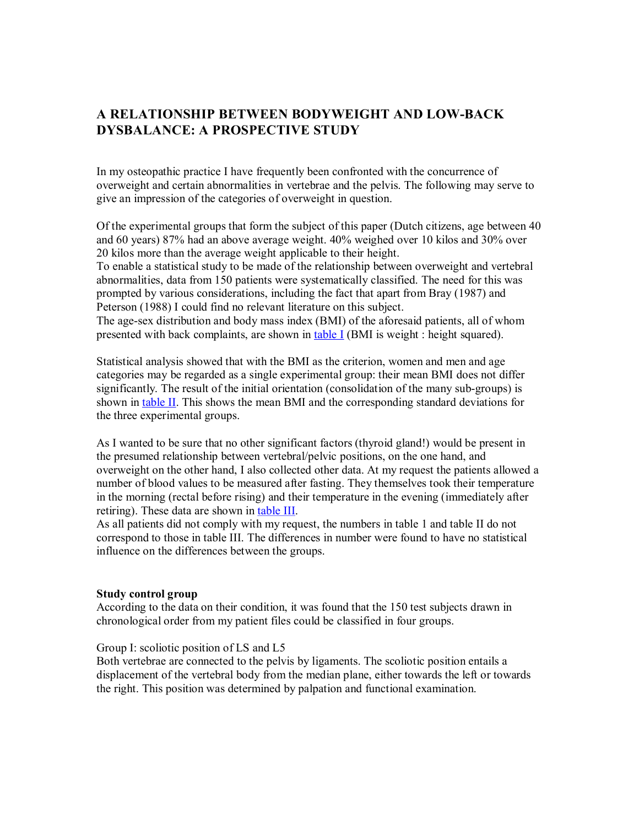# **A RELATIONSHIP BETWEEN BODYWEIGHT AND LOWBACK DYSBALANCE: A PROSPECTIVE STUDY**

In my osteopathic practice I have frequently been confronted with the concurrence of overweight and certain abnormalities in vertebrae and the pelvis. The following may serve to give an impression of the categories of overweight in question.

Of the experimental groups that form the subject of this paper (Dutch citizens, age between 40 and 60 years) 87% had an above average weight. 40% weighed over 10 kilos and 30% over 20 kilos more than the average weight applicable to their height.

To enable a statistical study to be made of the relationship between overweight and vertebral abnormalities, data from 150 patients were systematically classified. The need for this was prompted by various considerations, including the fact that apart from Bray (1987) and Peterson (1988) I could find no relevant literature on this subject.

The age-sex distribution and body mass index (BMI) of the aforesaid patients, all of whom presented with back complaints, are shown in table I (BMI is weight : height squared).

Statistical analysis showed that with the BMI as the criterion, women and men and age categories may be regarded as a single experimental group: their mean BMI does not differ significantly. The result of the initial orientation (consolidation of the many sub-groups) is shown in table II. This shows the mean BMI and the corresponding standard deviations for the three experimental groups.

As I wanted to be sure that no other significant factors (thyroid gland!) would be present in the presumed relationship between vertebral/pelvic positions, on the one hand, and overweight on the other hand, I also collected other data. At my request the patients allowed a number of blood values to be measured after fasting. They themselves took their temperature in the morning (rectal before rising) and their temperature in the evening (immediately after retiring). These data are shown in table III.

As all patients did not comply with my request, the numbers in table 1 and table II do not correspond to those in table III. The differences in number were found to have no statistical influence on the differences between the groups.

#### **Study control group**

According to the data on their condition, it was found that the 150 test subjects drawn in chronological order from my patient files could be classified in four groups.

## Group I: scoliotic position of LS and L5

Both vertebrae are connected to the pelvis by ligaments. The scoliotic position entails a displacement of the vertebral body from the median plane, either towards the left or towards the right. This position was determined by palpation and functional examination.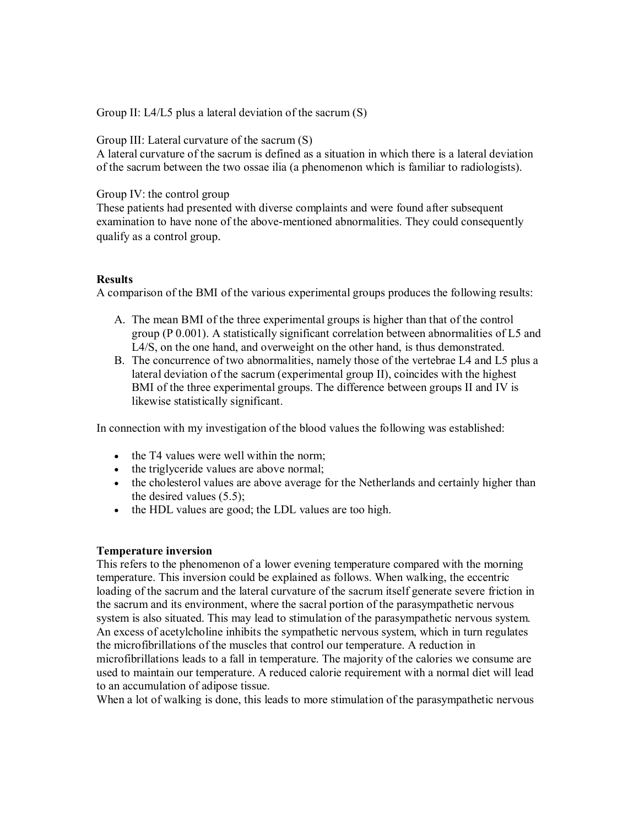Group II: L4/L5 plus a lateral deviation of the sacrum (S)

Group III: Lateral curvature of the sacrum (S)

A lateral curvature of the sacrum is defined as a situation in which there is a lateral deviation of the sacrum between the two ossae ilia (a phenomenon which is familiar to radiologists).

Group IV: the control group

These patients had presented with diverse complaints and were found after subsequent examination to have none of the above-mentioned abnormalities. They could consequently qualify as a control group.

## **Results**

A comparison of the BMI of the various experimental groups produces the following results:

- A. The mean BMI of the three experimental groups is higher than that of the control group (P 0.001). A statistically significant correlation between abnormalities of L5 and L4/S, on the one hand, and overweight on the other hand, is thus demonstrated.
- B. The concurrence of two abnormalities, namely those of the vertebrae L4 and L5 plus a lateral deviation of the sacrum (experimental group II), coincides with the highest BMI of the three experimental groups. The difference between groups II and IV is likewise statistically significant.

In connection with my investigation of the blood values the following was established:

- the T4 values were well within the norm;
- · the triglyceride values are above normal;
- the cholesterol values are above average for the Netherlands and certainly higher than the desired values (5.5);
- · the HDL values are good; the LDL values are too high.

## **Temperature inversion**

This refers to the phenomenon of a lower evening temperature compared with the morning temperature. This inversion could be explained as follows. When walking, the eccentric loading of the sacrum and the lateral curvature of the sacrum itself generate severe friction in the sacrum and its environment, where the sacral portion of the parasympathetic nervous system is also situated. This may lead to stimulation of the parasympathetic nervous system. An excess of acetylcholine inhibits the sympathetic nervous system, which in turn regulates the microfibrillations of the muscles that control our temperature. A reduction in microfibrillations leads to a fall in temperature. The majority of the calories we consume are used to maintain our temperature. A reduced calorie requirement with a normal diet will lead to an accumulation of adipose tissue.

When a lot of walking is done, this leads to more stimulation of the parasympathetic nervous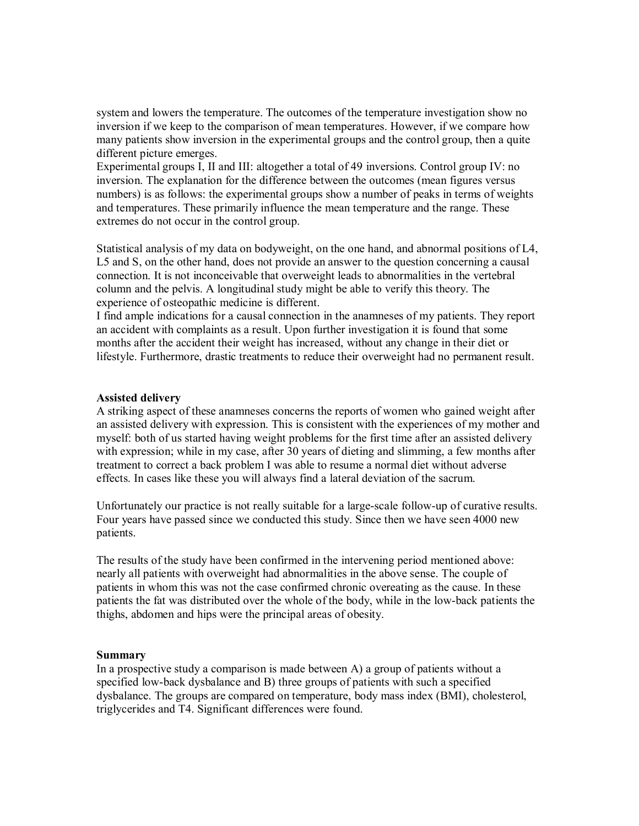system and lowers the temperature. The outcomes of the temperature investigation show no inversion if we keep to the comparison of mean temperatures. However, if we compare how many patients show inversion in the experimental groups and the control group, then a quite different picture emerges.

Experimental groups I, II and III: altogether a total of 49 inversions. Control group IV: no inversion. The explanation for the difference between the outcomes (mean figures versus numbers) is as follows: the experimental groups show a number of peaks in terms of weights and temperatures. These primarily influence the mean temperature and the range. These extremes do not occur in the control group.

Statistical analysis of my data on bodyweight, on the one hand, and abnormal positions of L4, L5 and S, on the other hand, does not provide an answer to the question concerning a causal connection. It is not inconceivable that overweight leads to abnormalities in the vertebral column and the pelvis. A longitudinal study might be able to verify this theory. The experience of osteopathic medicine is different.

I find ample indications for a causal connection in the anamneses of my patients. They report an accident with complaints as a result. Upon further investigation it is found that some months after the accident their weight has increased, without any change in their diet or lifestyle. Furthermore, drastic treatments to reduce their overweight had no permanent result.

#### **Assisted delivery**

A striking aspect of these anamneses concerns the reports of women who gained weight after an assisted delivery with expression. This is consistent with the experiences of my mother and myself: both of us started having weight problems for the first time after an assisted delivery with expression; while in my case, after 30 years of dieting and slimming, a few months after treatment to correct a back problem I was able to resume a normal diet without adverse effects. In cases like these you will always find a lateral deviation of the sacrum.

Unfortunately our practice is not really suitable for a large-scale follow-up of curative results. Four years have passed since we conducted this study. Since then we have seen 4000 new patients.

The results of the study have been confirmed in the intervening period mentioned above: nearly all patients with overweight had abnormalities in the above sense. The couple of patients in whom this was not the case confirmed chronic overeating as the cause. In these patients the fat was distributed over the whole of the body, while in the lowback patients the thighs, abdomen and hips were the principal areas of obesity.

#### **Summary**

In a prospective study a comparison is made between A) a group of patients without a specified low-back dysbalance and B) three groups of patients with such a specified dysbalance. The groups are compared on temperature, body mass index (BMI), cholesterol, triglycerides and T4. Significant differences were found.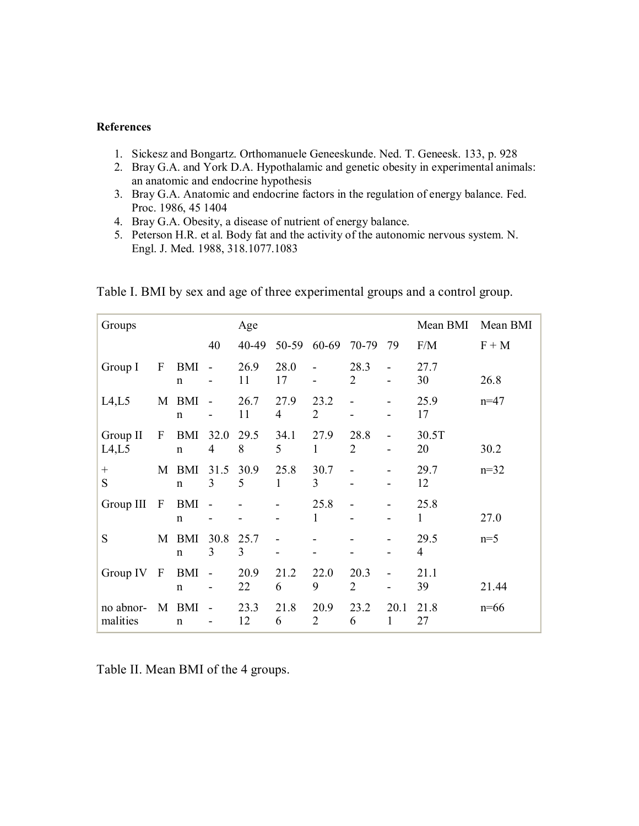## **References**

- 1. Sickesz and Bongartz. Orthomanuele Geneeskunde. Ned. T. Geneesk. 133, p. 928
- 2. Bray G.A. and York D.A. Hypothalamic and genetic obesity in experimental animals: an anatomic and endocrine hypothesis
- 3. Bray G.A. Anatomic and endocrine factors in the regulation of energy balance. Fed. Proc. 1986, 45 1404
- 4. Bray G.A. Obesity, a disease of nutrient of energy balance.
- 5. Peterson H.R. et al. Body fat and the activity of the autonomic nervous system. N. Engl. J. Med. 1988, 318.1077.1083

| Groups                 |              |                      |                          | Age        |            |                        | Mean BMI               | Mean BMI                 |                        |         |
|------------------------|--------------|----------------------|--------------------------|------------|------------|------------------------|------------------------|--------------------------|------------------------|---------|
|                        |              |                      | 40                       | 40-49      | 50-59      | 60-69 70-79            |                        | 79                       | F/M                    | $F + M$ |
| Group I                | $\mathbf{F}$ | BMI<br>$\mathbf n$   | $\sim$                   | 26.9<br>11 | 28.0<br>17 | $\blacksquare$         | 28.3<br>2              | $\overline{\phantom{a}}$ | 27.7<br>30             | 26.8    |
| LA,L5                  |              | M BMI<br>$\mathbf n$ | $\blacksquare$           | 26.7<br>11 | 27.9<br>4  | 23.2<br>2              |                        |                          | 25.9<br>17             | $n=47$  |
| Group II<br>L4,L5      | $\mathbf{F}$ | BMI<br>$\mathbf n$   | 32.0<br>$\overline{4}$   | 29.5<br>8  | 34.1<br>5  | 27.9<br>1              | 28.8<br>$\overline{2}$ |                          | 30.5T<br>20            | 30.2    |
| $\qquad \qquad +$<br>S | M            | BMI<br>$\mathbf n$   | 31.5<br>3                | 30.9<br>5  | 25.8<br>1  | 30.7<br>3              |                        |                          | 29.7<br>12             | $n=32$  |
| Group III              | $\mathbf{F}$ | BMI<br>$\mathbf n$   |                          |            |            | 25.8<br>$\mathbf{1}$   |                        |                          | 25.8<br>1              | 27.0    |
| S                      |              | M BMI<br>$\mathbf n$ | 30.8<br>3                | 25.7<br>3  |            |                        |                        |                          | 29.5<br>$\overline{4}$ | $n=5$   |
| Group $IV$ $F$         |              | BMI<br>$\mathbf n$   | $\overline{\phantom{a}}$ | 20.9<br>22 | 21.2<br>6  | 22.0<br>9              | 20.3<br>$\overline{2}$ |                          | 21.1<br>39             | 21.44   |
| no abnor-<br>malities  |              | M BMI<br>$\mathbf n$ |                          | 23.3<br>12 | 21.8<br>6  | 20.9<br>$\overline{2}$ | 23.2<br>6              | 20.1<br>1                | 21.8<br>27             | $n=66$  |

Table I. BMI by sex and age of three experimental groups and a control group.

Table II. Mean BMI of the 4 groups.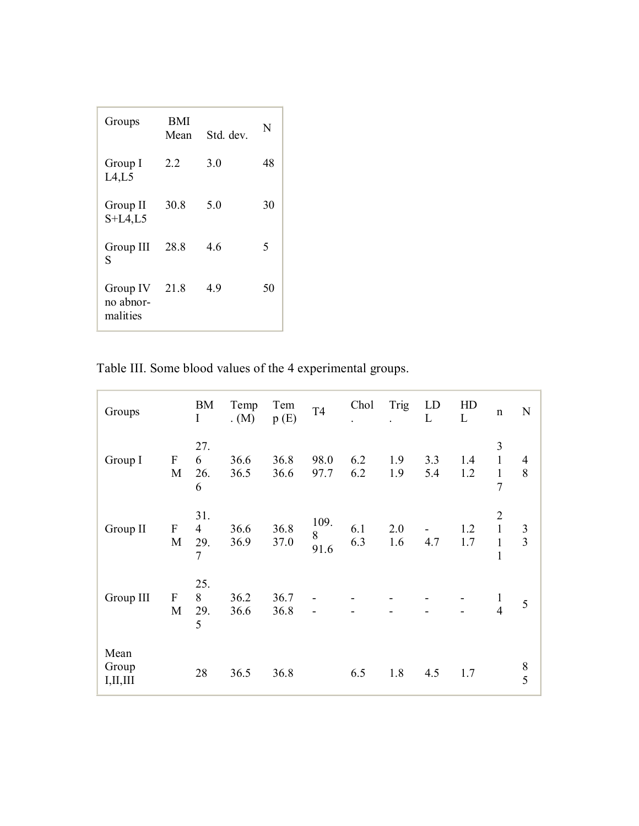| Groups                            | BMI<br>Mean | Std. dev. | N  |
|-----------------------------------|-------------|-----------|----|
| Group I<br>LA,L5                  | 22          | 3.0       | 48 |
| Group II<br>$S+L4$ , L5           | 30.8        | 50        | 30 |
| Group III<br>S                    | 28.8        | 46        | 5  |
| Group IV<br>no abnor-<br>malities | 21.8        | 4.9       | 50 |

Table III. Some blood values of the 4 experimental groups.

| Groups                      |                                          | <b>BM</b><br>$\bf I$                           | Temp<br>$(M)$ . | Tem<br>p(E)  | <b>T4</b>         | Chol       | Trig       | LD<br>L    | HD<br>L    | $\mathbf n$                                                    | ${\bf N}$                        |
|-----------------------------|------------------------------------------|------------------------------------------------|-----------------|--------------|-------------------|------------|------------|------------|------------|----------------------------------------------------------------|----------------------------------|
| Group I                     | $\boldsymbol{\mathrm{F}}$<br>M           | 27.<br>6<br>26.<br>6                           | 36.6<br>36.5    | 36.8<br>36.6 | 98.0<br>97.7      | 6.2<br>6.2 | 1.9<br>1.9 | 3.3<br>5.4 | 1.4<br>1.2 | 3<br>$\mathbf{1}$<br>$\mathbf{1}$<br>7                         | 4<br>8                           |
| Group II                    | $\boldsymbol{\mathrm{F}}$<br>$\mathbf M$ | 31.<br>$\overline{4}$<br>29.<br>$\overline{7}$ | 36.6<br>36.9    | 36.8<br>37.0 | 109.<br>8<br>91.6 | 6.1<br>6.3 | 2.0<br>1.6 | 4.7        | 1.2<br>1.7 | $\overline{2}$<br>$\mathbf{1}$<br>$\mathbf{1}$<br>$\mathbf{1}$ | $\mathfrak{Z}$<br>$\overline{3}$ |
| Group III                   | $\boldsymbol{\mathrm{F}}$<br>M           | 25.<br>8<br>29.<br>5                           | 36.2<br>36.6    | 36.7<br>36.8 |                   |            |            |            |            | $\frac{1}{4}$                                                  | 5                                |
| Mean<br>Group<br>I, II, III |                                          | 28                                             | 36.5            | 36.8         |                   | 6.5        | 1.8        | 4.5        | 1.7        |                                                                | $8\,$<br>5                       |